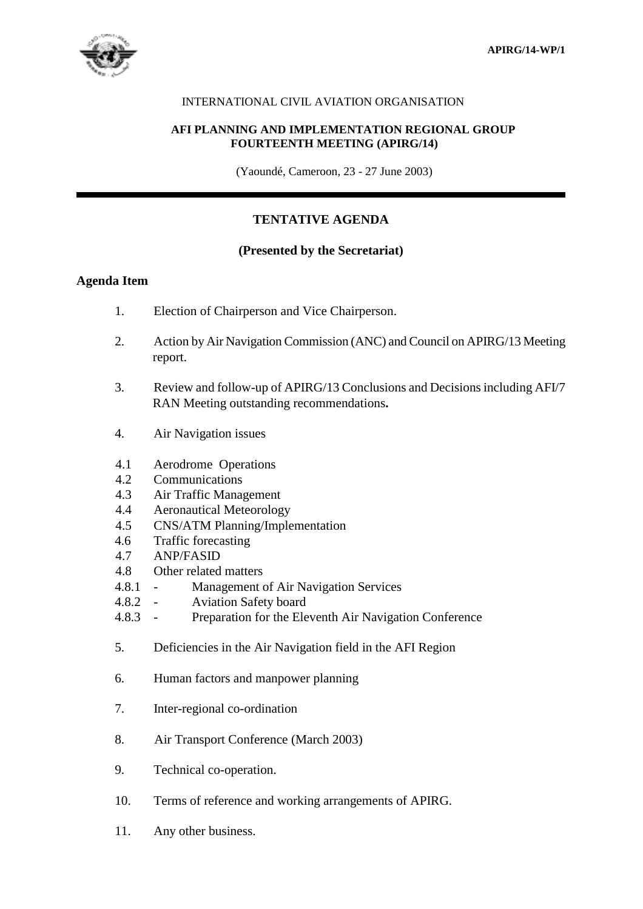

## INTERNATIONAL CIVIL AVIATION ORGANISATION

## **AFI PLANNING AND IMPLEMENTATION REGIONAL GROUP FOURTEENTH MEETING (APIRG/14)**

(Yaoundé, Cameroon, 23 - 27 June 2003)

# **TENTATIVE AGENDA**

## **(Presented by the Secretariat)**

## **Agenda Item**

- 1. Election of Chairperson and Vice Chairperson.
- 2. Action by Air Navigation Commission (ANC) and Council on APIRG/13 Meeting report.
- 3. Review and follow-up of APIRG/13 Conclusions and Decisions including AFI/7 RAN Meeting outstanding recommendations**.**
- 4. Air Navigation issues
- 4.1 Aerodrome Operations
- 4.2 Communications
- 4.3 Air Traffic Management
- 4.4 Aeronautical Meteorology
- 4.5 CNS/ATM Planning/Implementation
- 4.6 Traffic forecasting
- 4.7 ANP/FASID
- 4.8 Other related matters
- 4.8.1 Management of Air Navigation Services
- 4.8.2 Aviation Safety board
- 4.8.3 Preparation for the Eleventh Air Navigation Conference
- 5. Deficiencies in the Air Navigation field in the AFI Region
- 6. Human factors and manpower planning
- 7. Inter-regional co-ordination
- 8. Air Transport Conference (March 2003)
- 9. Technical co-operation.
- 10. Terms of reference and working arrangements of APIRG.
- 11. Any other business.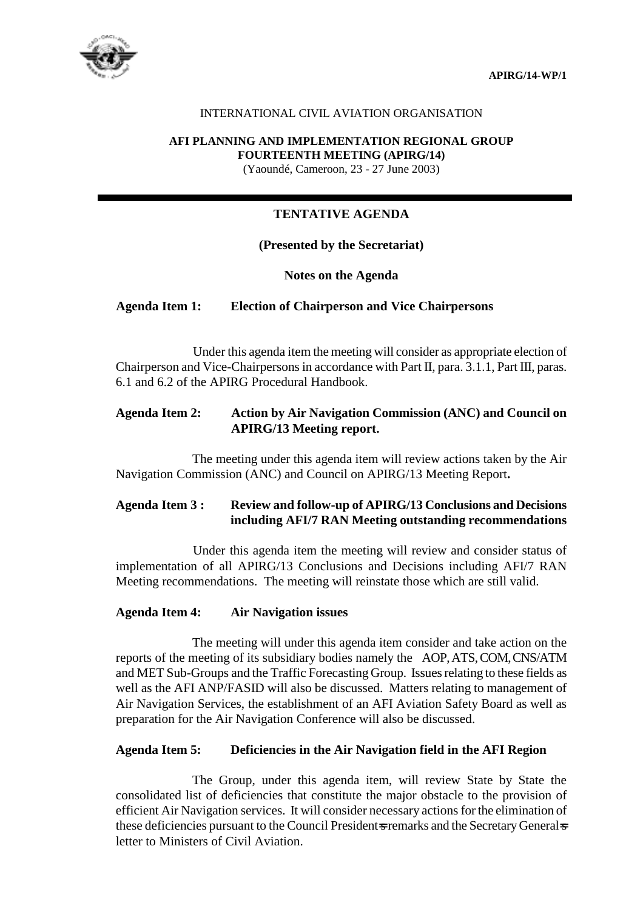**APIRG/14-WP/1**



## INTERNATIONAL CIVIL AVIATION ORGANISATION

#### **AFI PLANNING AND IMPLEMENTATION REGIONAL GROUP FOURTEENTH MEETING (APIRG/14)**

(Yaoundé, Cameroon, 23 - 27 June 2003)

## **TENTATIVE AGENDA**

## **(Presented by the Secretariat)**

## **Notes on the Agenda**

## **Agenda Item 1: Election of Chairperson and Vice Chairpersons**

Under this agenda item the meeting will consider as appropriate election of Chairperson and Vice-Chairpersons in accordance with Part II, para. 3.1.1, Part III, paras. 6.1 and 6.2 of the APIRG Procedural Handbook.

## **Agenda Item 2: Action by Air Navigation Commission (ANC) and Council on APIRG/13 Meeting report.**

The meeting under this agenda item will review actions taken by the Air Navigation Commission (ANC) and Council on APIRG/13 Meeting Report**.** 

## **Agenda Item 3 : Review and follow-up of APIRG/13 Conclusions and Decisions including AFI/7 RAN Meeting outstanding recommendations**

 Under this agenda item the meeting will review and consider status of implementation of all APIRG/13 Conclusions and Decisions including AFI/7 RAN Meeting recommendations. The meeting will reinstate those which are still valid.

### **Agenda Item 4: Air Navigation issues**

The meeting will under this agenda item consider and take action on the reports of the meeting of its subsidiary bodies namely the AOP, ATS, COM, CNS/ATM and MET Sub-Groups and the Traffic Forecasting Group. Issues relating to these fields as well as the AFI ANP/FASID will also be discussed. Matters relating to management of Air Navigation Services, the establishment of an AFI Aviation Safety Board as well as preparation for the Air Navigation Conference will also be discussed.

## **Agenda Item 5: Deficiencies in the Air Navigation field in the AFI Region**

The Group, under this agenda item, will review State by State the consolidated list of deficiencies that constitute the major obstacle to the provision of efficient Air Navigation services. It will consider necessary actions for the elimination of these deficiencies pursuant to the Council President-s remarks and the Secretary General-s letter to Ministers of Civil Aviation.